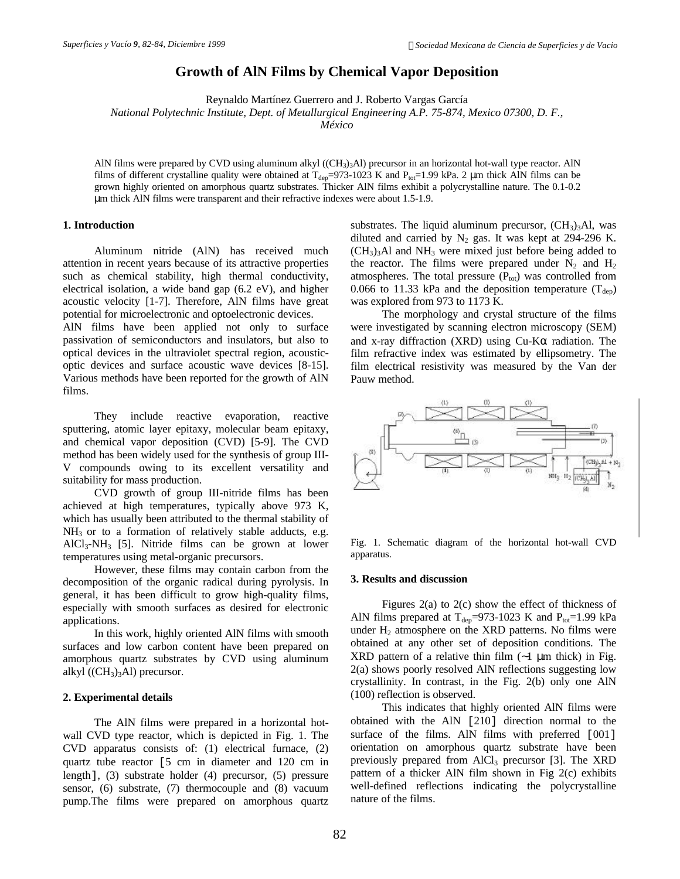# **Growth of AlN Films by Chemical Vapor Deposition**

Reynaldo Martínez Guerrero and J. Roberto Vargas García

*National Polytechnic Institute, Dept. of Metallurgical Engineering A.P. 75-874, Mexico 07300, D. F.,*

*México*

AlN films were prepared by CVD using aluminum alkyl  $((CH<sub>3</sub>)<sub>3</sub>Al)$  precursor in an horizontal hot-wall type reactor. AlN films of different crystalline quality were obtained at  $T_{den}=973{\text -}1023$  K and  $P_{tot}=1.99$  kPa. 2 µm thick AlN films can be grown highly oriented on amorphous quartz substrates. Thicker AlN films exhibit a polycrystalline nature. The 0.1-0.2 μm thick AlN films were transparent and their refractive indexes were about 1.5-1.9.

## **1. Introduction**

Aluminum nitride (AlN) has received much attention in recent years because of its attractive properties such as chemical stability, high thermal conductivity, electrical isolation, a wide band gap (6.2 eV), and higher acoustic velocity [1-7]. Therefore, AlN films have great potential for microelectronic and optoelectronic devices.

AlN films have been applied not only to surface passivation of semiconductors and insulators, but also to optical devices in the ultraviolet spectral region, acousticoptic devices and surface acoustic wave devices [8-15]. Various methods have been reported for the growth of AlN films.

They include reactive evaporation, reactive sputtering, atomic layer epitaxy, molecular beam epitaxy, and chemical vapor deposition (CVD) [5-9]. The CVD method has been widely used for the synthesis of group III-V compounds owing to its excellent versatility and suitability for mass production.

CVD growth of group III-nitride films has been achieved at high temperatures, typically above 973 K, which has usually been attributed to the thermal stability of NH<sub>3</sub> or to a formation of relatively stable adducts, e.g.  $AICI<sub>3</sub>-NH<sub>3</sub>$  [5]. Nitride films can be grown at lower temperatures using metal-organic precursors.

However, these films may contain carbon from the decomposition of the organic radical during pyrolysis. In general, it has been difficult to grow high-quality films, especially with smooth surfaces as desired for electronic applications.

In this work, highly oriented AlN films with smooth surfaces and low carbon content have been prepared on amorphous quartz substrates by CVD using aluminum alkyl  $((CH<sub>3</sub>)<sub>3</sub>Al)$  precursor.

### **2. Experimental details**

The AlN films were prepared in a horizontal hotwall CVD type reactor, which is depicted in Fig. 1. The CVD apparatus consists of: (1) electrical furnace, (2) quartz tube reactor [5 cm in diameter and 120 cm in length], (3) substrate holder (4) precursor, (5) pressure sensor, (6) substrate, (7) thermocouple and (8) vacuum pump.The films were prepared on amorphous quartz substrates. The liquid aluminum precursor,  $(CH_3)_3$ Al, was diluted and carried by  $N_2$  gas. It was kept at 294-296 K.  $(CH<sub>3</sub>)<sub>3</sub>$ Al and NH<sub>3</sub> were mixed just before being added to the reactor. The films were prepared under  $N_2$  and  $H_2$ atmospheres. The total pressure  $(P_{\text{tot}})$  was controlled from 0.066 to 11.33 kPa and the deposition temperature  $(T_{den})$ was explored from 973 to 1173 K.

The morphology and crystal structure of the films were investigated by scanning electron microscopy (SEM) and x-ray diffraction (XRD) using  $Cu-K\alpha$  radiation. The film refractive index was estimated by ellipsometry. The film electrical resistivity was measured by the Van der Pauw method.



Fig. 1. Schematic diagram of the horizontal hot-wall CVD apparatus.

#### **3. Results and discussion**

Figures 2(a) to 2(c) show the effect of thickness of AlN films prepared at  $T_{\text{dep}} = 973-1023$  K and  $P_{\text{tot}} = 1.99$  kPa under  $H_2$  atmosphere on the XRD patterns. No films were obtained at any other set of deposition conditions. The XRD pattern of a relative thin film (∼1 μm thick) in Fig. 2(a) shows poorly resolved AlN reflections suggesting low crystallinity. In contrast, in the Fig. 2(b) only one AlN (100) reflection is observed.

This indicates that highly oriented AlN films were obtained with the AlN [210] direction normal to the surface of the films. AlN films with preferred [001] orientation on amorphous quartz substrate have been previously prepared from  $AICI_3$  precursor [3]. The XRD pattern of a thicker AlN film shown in Fig 2(c) exhibits well-defined reflections indicating the polycrystalline nature of the films.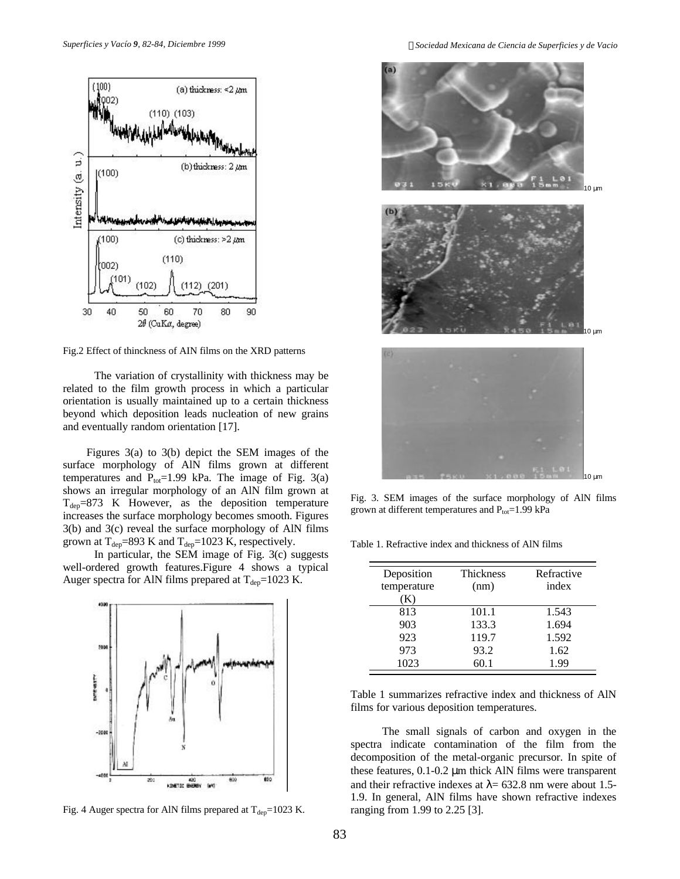

Fig.2 Effect of thinckness of AIN films on the XRD patterns

The variation of crystallinity with thickness may be related to the film growth process in which a particular orientation is usually maintained up to a certain thickness beyond which deposition leads nucleation of new grains and eventually random orientation [17].

Figures 3(a) to 3(b) depict the SEM images of the surface morphology of AlN films grown at different temperatures and  $P_{tot}$ =1.99 kPa. The image of Fig. 3(a) shows an irregular morphology of an AlN film grown at  $T_{den}=873$  K However, as the deposition temperature increases the surface morphology becomes smooth. Figures 3(b) and 3(c) reveal the surface morphology of AlN films grown at  $T_{dep}$ =893 K and  $T_{dep}$ =1023 K, respectively.

In particular, the SEM image of Fig. 3(c) suggests well-ordered growth features.Figure 4 shows a typical Auger spectra for AlN films prepared at  $T_{dep}$ =1023 K.



Fig. 4 Auger spectra for AlN films prepared at  $T_{dep} = 1023$  K.

*Superficies y Vacío 9, 82-84, Diciembre 1999 ãSociedad Mexicana de Ciencia de Superficies y de Vacio*



Fig. 3. SEM images of the surface morphology of AlN films grown at different temperatures and  $P_{tot}$ =1.99 kPa

Table 1. Refractive index and thickness of AlN films

| Deposition<br>temperature<br>(K) | Thickness<br>(nm) | Refractive<br>index |
|----------------------------------|-------------------|---------------------|
| 813                              | 101.1             | 1.543               |
| 903                              | 133.3             | 1.694               |
| 923                              | 119.7             | 1.592               |
| 973                              | 93.2              | 1.62                |
| 1023                             | 60.1              | 1.99                |

Table 1 summarizes refractive index and thickness of AlN films for various deposition temperatures.

The small signals of carbon and oxygen in the spectra indicate contamination of the film from the decomposition of the metal-organic precursor. In spite of these features, 0.1-0.2 μm thick AlN films were transparent and their refractive indexes at  $\lambda$  = 632.8 nm were about 1.5-1.9. In general, AlN films have shown refractive indexes ranging from 1.99 to 2.25 [3].